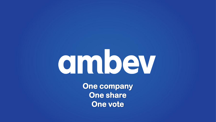# ombev

**One company One share One vote**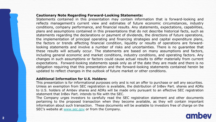#### **Cautionary Note Regarding Forward-Looking Statements:**

Statements contained in this presentation may contain information that is forward-looking and reflects management's current view and estimates of future economic circumstances, industry conditions, company performance, and financial results. Any statements, expectations, capabilities, plans and assumptions contained in this presentations that do not describe historical facts, such as statements regarding the declarations or payment of dividends, the directions of future operations, the implementation of principal operating and financing strategies and capital expenditure plans, the factors or trends affecting financial condition, liquidity or results of operations are forwardlooking statements and involve a number of risks and uncertainties. There is no guarantee that these results will actually occur. The statements are based on many assumptions and factors, including general economic and market conditions, industry conditions, and operating factors. Any changes in such assumptions or factors could cause actual results to differ materially from current expectations. Forward-looking statements speak only as of the date they are made and there is no obligation requiring that this presentation and the forward-looking statements contained herein be updated to reflect changes in the outlook of future market or other conditions.

#### **Additional Information for U.S. Holders:**

This presentation is for informational purposes only and is not an offer to purchase or sell any securities. Unless an exemption from SEC registration is available, the distribution of InBev Part. shares and ADRs to U.S. holders of Ambev shares and ADRs will be made only pursuant to an effective SEC registration statement that InBev Part. intends to file with the SEC.

The Company urges investors to carefully read the SEC registration statement and other documents pertaining to the proposed transaction when they become available, as they will contain important information about such transaction. These documents will be available to investors free of charge on the SEC's website at [www.sec.gov](http://www.sec.gov/) or from the Company.

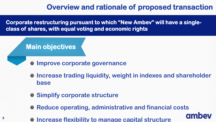### **Overview and rationale of proposed transaction**

**Corporate restructuring pursuant to which "New Ambev" will have a singleclass of shares, with equal voting and economic rights**

## **Main objectives**

**3** 

- **Improve corporate governance**
- **Increase trading liquidity, weight in indexes and shareholder base**
- **Simplify corporate structure**
- **Reduce operating, administrative and financial costs**
- **Increase flexibility to manage capital structure**

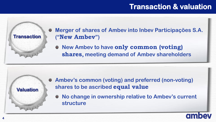### **Transaction & valuation**

**Transaction** 

**Merger of shares of Ambev into Inbev Participações S.A. ("New Ambev")**

**New Ambev to have only common (voting) shares, meeting demand of Ambev shareholders**

# **Valuation**

- **Ambev's common (voting) and preferred (non-voting) shares to be ascribed equal value**
	- **No change in ownership relative to Ambev's current structure**

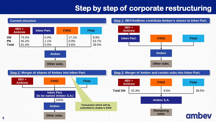#### **Step by step of corporate restructuring**

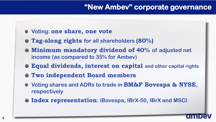#### **"New Ambev" corporate governance**

- **Voting: one share, one vote**
- **Tag-along rights for all shareholders (80%)**
- **Minimum mandatory dividend of 40% of adjusted net income (as compared to 35% for Ambev)**
- **Equal dividends, interest on capital and other capital rights**
- **Two independent Board members**
- **Voting shares and ADRs to trade in BM&F Bovespa & NYSE, respectively**
- **Index representation: iBovespa, IBrX-50, IBrX and MSCI**

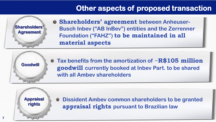#### **Other aspects of proposed transaction**

**Shareholders' Agreement** 

**Shareholders' agreement between Anheuser-Busch Inbev ("AB InBev") entities and the Zerrenner Foundation ("FAHZ") to be maintained in all material aspects**

**Goodwill** 

**Tax benefits from the amortization of** ~**R\$105 million goodwill currently booked at Inbev Part. to be shared with all Ambev shareholders**

**Appraisal rights** 

**Dissident Ambev common shareholders to be granted appraisal rights pursuant to Brazilian law**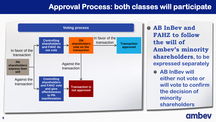### **Approval Process: both classes will participate**



**AB InBev and FAHZ to follow the will of Ambev's minority shareholders, to be expressed separately AB InBev will either not vote or will vote to confirm the decision of minority** 

**shareholders**

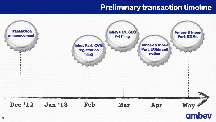#### **Preliminary transaction timeline**

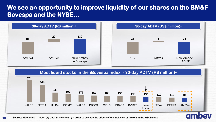#### **We see an opportunity to improve liquidity of our shares on the BM&F Bovespa and the NYSE...**



**Most liquid stocks in the iBovespa index - 30-day ADTV (R\$ million)<sup>1</sup>**